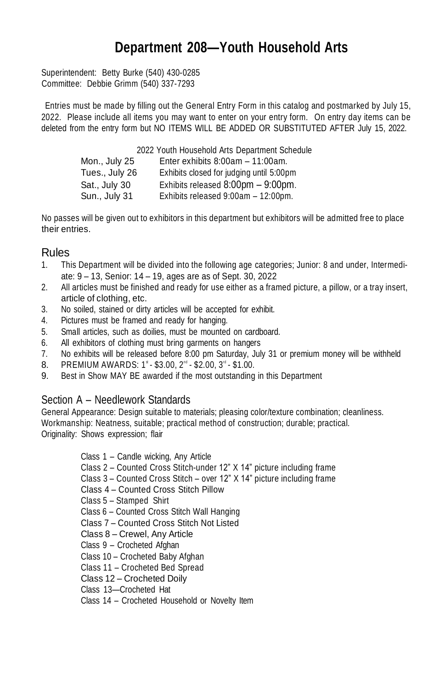## **Department 208—Youth Household Arts**

Superintendent: Betty Burke (540) 430-0285 Committee: Debbie Grimm (540) 337-7293

Entries must be made by filling out the General Entry Form in this catalog and postmarked by July 15, 2022. Please include all items you may want to enter on your entry form. On entry day items can be deleted from the entry form but NO ITEMS WILL BE ADDED OR SUBSTITUTED AFTER July 15, 2022.

> 2022 Youth Household Arts Department Schedule Mon., July 25 Enter exhibits 8:00am – 11:00am. Tues., July 26 Exhibits closed for judging until 5:00pm Sat., July 30 Exhibits released 8:00pm – 9:00pm. Sun., July 31 Exhibits released 9:00am – 12:00pm.

No passes will be given out to exhibitors in this department but exhibitors will be admitted free to place their entries.

## Rules

- 1. This Department will be divided into the following age categories; Junior: 8 and under, Intermediate: 9 – 13, Senior: 14 – 19, ages are as of Sept. 30, 2022
- 2. All articles must be finished and ready for use either as a framed picture, a pillow, or a tray insert, article of clothing, etc.
- 3. No soiled, stained or dirty articles will be accepted for exhibit.
- 4. Pictures must be framed and ready for hanging.
- 5. Small articles, such as doilies, must be mounted on cardboard.
- 6. All exhibitors of clothing must bring garments on hangers
- 7. No exhibits will be released before 8:00 pm Saturday, July 31 or premium money will be withheld
- 8. PREMIUM AWARDS:  $1^*$  \$3.00,  $2^{\text{nd}}$  \$2.00,  $3^{\text{rd}}$  \$1.00.
- 9. Best in Show MAY BE awarded if the most outstanding in this Department

## Section A – Needlework Standards

General Appearance: Design suitable to materials; pleasing color/texture combination; cleanliness. Workmanship: Neatness, suitable; practical method of construction; durable; practical. Originality: Shows expression; flair

> Class 1 – Candle wicking, Any Article Class 2 – Counted Cross Stitch-under 12" X 14" picture including frame Class 3 – Counted Cross Stitch – over 12" X 14" picture including frame Class 4 – Counted Cross Stitch Pillow Class 5 – Stamped Shirt Class 6 – Counted Cross Stitch Wall Hanging Class 7 – Counted Cross Stitch Not Listed Class 8 – Crewel, Any Article Class 9 – Crocheted Afghan Class 10 – Crocheted Baby Afghan Class 11 – Crocheted Bed Spread Class 12 – Crocheted Doily

- Class 13—Crocheted Hat
- Class 14 Crocheted Household or Novelty Item